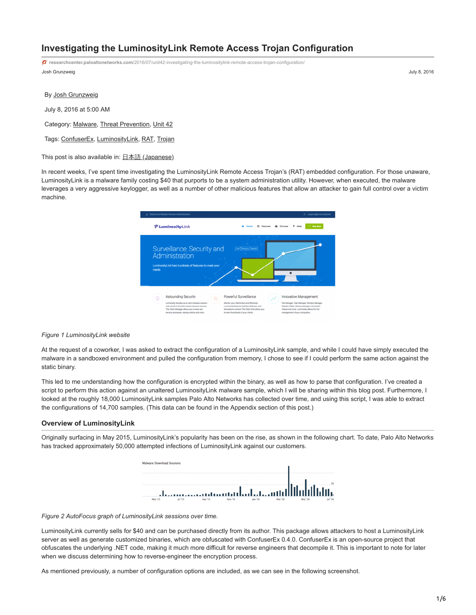# **Investigating the LuminosityLink Remote Access Trojan Configuration**

Josh Grunzweig July 8, 2016 **researchcenter.paloaltonetworks.com**[/2016/07/unit42-investigating-the-luminositylink-remote-access-trojan-configuration/](https://researchcenter.paloaltonetworks.com/2016/07/unit42-investigating-the-luminositylink-remote-access-trojan-configuration/)

By [Josh Grunzweig](https://unit42.paloaltonetworks.com/author/joshgruznweig/)

July 8, 2016 at 5:00 AM

Category: [Malware](https://unit42.paloaltonetworks.com/category/malware-2/), [Threat Prevention](https://unit42.paloaltonetworks.com/category/threat-prevention-2/), [Unit 42](https://unit42.paloaltonetworks.com/category/unit42/)

Tags: [ConfuserEx](https://unit42.paloaltonetworks.com/tag/confuserex/), [LuminosityLink,](https://unit42.paloaltonetworks.com/tag/luminositylink/) [RAT](https://unit42.paloaltonetworks.com/tag/rat/), [Trojan](https://unit42.paloaltonetworks.com/tag/trojan/)

This post is also available in:  $\underline{\Box}$   $\underline{\Diamond}$   $\underline{\Diamond}$   $\underline{\Diamond}$   $\underline{\Diamond}$   $\underline{\Diamond}$   $\underline{\Diamond}$   $\underline{\Diamond}$   $\underline{\Diamond}$   $\underline{\Diamond}$   $\underline{\Diamond}$   $\underline{\Diamond}$   $\underline{\Diamond}$   $\underline{\Diamond}$   $\underline{\Diamond}$   $\underline{\Diamond}$   $\underline{\Diamond}$   $\underline{\Diamond}$   $\underline{\Diamond}$   $\underline{\Diamond}$   $\underline{\Diamond}$ 

In recent weeks, I've spent time investigating the LuminosityLink Remote Access Trojan's (RAT) embedded configuration. For those unaware, LuminosityLink is a malware family costing \$40 that purports to be a system administration utility. However, when executed, the malware leverages a very aggressive keylogger, as well as a number of other malicious features that allow an attacker to gain full control over a victim machine.

| "( Stable and Reliable Remote Administration                                                                                                                                                                                          | <b>El support@luminosity.link</b>                                                                                                                                                                                                                                                                                                                                                                                |
|---------------------------------------------------------------------------------------------------------------------------------------------------------------------------------------------------------------------------------------|------------------------------------------------------------------------------------------------------------------------------------------------------------------------------------------------------------------------------------------------------------------------------------------------------------------------------------------------------------------------------------------------------------------|
| 할 LuminosityLink                                                                                                                                                                                                                      | <b>Buy Now</b><br>Features                                                                                                                                                                                                                                                                                                                                                                                       |
| Surveillance, Security and<br>Administration<br>LuminosityLink has hundreds of features to meet your<br>needs                                                                                                                         | <b>Therita Details</b>                                                                                                                                                                                                                                                                                                                                                                                           |
| <b>Astounding Security</b><br>N<br>Φ<br>Luminosity doubles as an anti-malware solution<br>with a bulb-in heuristic based malware remover.<br>The Client Manager allows you to view and<br>remove processes, startup entries and more. | Powerful Surveillance<br>Innovative Management<br>Monitor your clients fast and effectively.<br>File Manager, Task Manager, Window Manager.<br>Luminosity features Desktop, Webcam, and<br>Registry Editor, Startup Manager, Connection<br>Microphone control. The Client Grid allows you<br>Viewer and more. Luminosity allows for full<br>to view thumbnalls of your clients.<br>management of your computers. |

#### *Figure 1 LuminosityLink website*

At the request of a coworker, I was asked to extract the configuration of a LuminosityLink sample, and while I could have simply executed the malware in a sandboxed environment and pulled the configuration from memory, I chose to see if I could perform the same action against the static binary.

This led to me understanding how the configuration is encrypted within the binary, as well as how to parse that configuration. I've created a script to perform this action against an unaltered LuminosityLink malware sample, which I will be sharing within this blog post. Furthermore, I looked at the roughly 18,000 LuminosityLink samples Palo Alto Networks has collected over time, and using this script, I was able to extract the configurations of 14,700 samples. (This data can be found in the Appendix section of this post.)

#### **Overview of LuminosityLink**

Originally surfacing in May 2015, LuminosityLink's popularity has been on the rise, as shown in the following chart. To date, Palo Alto Networks has tracked approximately 50,000 attempted infections of LuminosityLink against our customers.



*Figure 2 AutoFocus graph of LuminosityLink sessions over time.*

LuminosityLink currently sells for \$40 and can be purchased directly from its author. This package allows attackers to host a LuminosityLink server as well as generate customized binaries, which are obfuscated with ConfuserEx 0.4.0. ConfuserEx is an open-source project that obfuscates the underlying .NET code, making it much more difficult for reverse engineers that decompile it. This is important to note for later when we discuss determining how to reverse-engineer the encryption process.

As mentioned previously, a number of configuration options are included, as we can see in the following screenshot.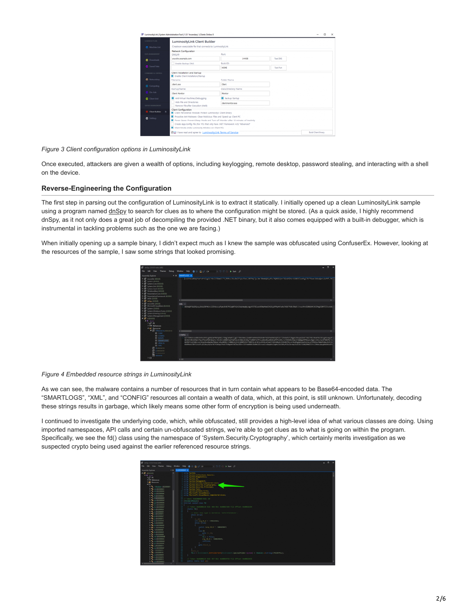| LUMINOSITY/INC               | LuminosityLink Client Builder                                                                                                                                                                                                                                                                     |                         |           |                     |
|------------------------------|---------------------------------------------------------------------------------------------------------------------------------------------------------------------------------------------------------------------------------------------------------------------------------------------------|-------------------------|-----------|---------------------|
| <b>D</b> Machine List        | Create an executable file that connects to LuminosityLink                                                                                                                                                                                                                                         |                         |           |                     |
| <b>DATA MANAGEMENT</b>       | Network Configuration<br>DNS/IP:                                                                                                                                                                                                                                                                  | Port:                   |           |                     |
| <b>D</b> Downloads           | vourdra.example.com                                                                                                                                                                                                                                                                               | 14408                   | Test DNS  |                     |
|                              | <b>Enable Backup DNS</b>                                                                                                                                                                                                                                                                          | <b>Build ID:</b>        |           |                     |
| <b>D</b> Saved Data          |                                                                                                                                                                                                                                                                                                   | HOME                    | Test Port |                     |
| COMMAND & CONTROL            | Client Installation and Startup                                                                                                                                                                                                                                                                   |                         |           |                     |
| <b>Q</b> Networking          | Frable Client Installation/Startup<br>Filenamer                                                                                                                                                                                                                                                   | Finisher Names          |           |                     |
| O Computing                  | clest ess                                                                                                                                                                                                                                                                                         | Clent                   |           |                     |
|                              | Startup Name:                                                                                                                                                                                                                                                                                     | Data Directory Name:    |           |                     |
| O On-Join                    | <b>Clent Monitor</b>                                                                                                                                                                                                                                                                              | Monitor                 |           |                     |
| <b>D</b> Client Grid         | Arti-Virtual Machines/Debugging<br>Hide File and Directories<br>Aamove File after Execution (Melt)                                                                                                                                                                                                | <b>B</b> Backup Startup |           |                     |
| SERVER MANAGEMENT            |                                                                                                                                                                                                                                                                                                   | destroyator, exe        |           |                     |
| <b>D</b> Client Bailder<br>× | Client Configuration<br>Client Persistence Module: Protect Luminosity's Client Binary                                                                                                                                                                                                             |                         |           |                     |
| <b>O</b> Settings            | Proactive Arti-Malware: Clean Malicious Files and Speed up Client PC<br>Power Saver: Prevent Sleep Mode and Turn off Monitor after 15 minutes of inactivity<br>Create App.Comfig File (For PCs that only have .NET Framework 4.5) "Advanced"<br>Silent Mode (Hide Luminosity Window on Client PC) |                         |           |                     |
|                              | <b>ELL</b> I have read and agree to LuminosityLink Terms of Service                                                                                                                                                                                                                               |                         |           | Build Client Binary |

*Figure 3 Client configuration options in LuminosityLink*

Once executed, attackers are given a wealth of options, including keylogging, remote desktop, password stealing, and interacting with a shell on the device.

## **Reverse-Engineering the Configuration**

The first step in parsing out the configuration of LuminosityLink is to extract it statically. I initially opened up a clean LuminosityLink sample using a program named *dnSpy* to search for clues as to where the configuration might be stored. (As a quick aside, I highly recommend dnSpy, as it not only does a great job of decompiling the provided .NET binary, but it also comes equipped with a built-in debugger, which is instrumental in tackling problems such as the one we are facing.)

When initially opening up a sample binary, I didn't expect much as I knew the sample was obfuscated using ConfuserEx. However, looking at the resources of the sample, I saw some strings that looked promising.



*Figure 4 Embedded resource strings in LuminosityLink*

As we can see, the malware contains a number of resources that in turn contain what appears to be Base64-encoded data. The "SMARTLOGS", "XML", and "CONFIG" resources all contain a wealth of data, which, at this point, is still unknown. Unfortunately, decoding these strings results in garbage, which likely means some other form of encryption is being used underneath.

I continued to investigate the underlying code, which, while obfuscated, still provides a high-level idea of what various classes are doing. Using imported namespaces, API calls and certain un-obfuscated strings, we're able to get clues as to what is going on within the program. Specifically, we see the fd() class using the namespace of 'System.Security.Cryptography', which certainly merits investigation as we suspected crypto being used against the earlier referenced resource strings.

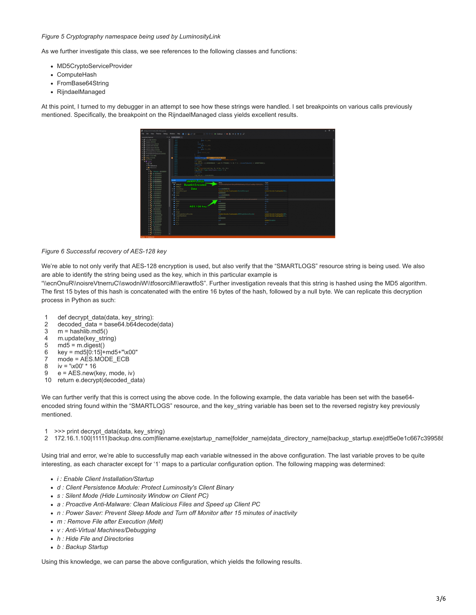## *Figure 5 Cryptography namespace being used by LuminosityLink*

As we further investigate this class, we see references to the following classes and functions:

- MD5CryptoServiceProvider
- ComputeHash
- FromBase64String
- RijndaelManaged

At this point, I turned to my debugger in an attempt to see how these strings were handled. I set breakpoints on various calls previously mentioned. Specifically, the breakpoint on the RijndaelManaged class yields excellent results.



## *Figure 6 Successful recovery of AES-128 key*

We're able to not only verify that AES-128 encryption is used, but also verify that the "SMARTLOGS" resource string is being used. We also are able to identify the string being used as the key, which in this particular example is

"\\ecnOnuR\\noisreVtnerruC\\swodniW\\tfosorciM\\erawtfoS". Further investigation reveals that this string is hashed using the MD5 algorithm. The first 15 bytes of this hash is concatenated with the entire 16 bytes of the hash, followed by a null byte. We can replicate this decryption process in Python as such:

- 1 def decrypt\_data(data, key\_string):
- 2 decoded\_data = base64.b64decode(data)
- 3  $m =$  hashlib.md5()
- 4 m.update(key\_string)
- 5  $md5 = m.digest()$
- 6 key = md5[0:15]+md5+"\x00"
- 7 mode = AES.MODE\_ECB
- 8 iv = '\x00' \* 16
- 9 e = AES.new(key, mode, iv)
- 10 return e.decrypt(decoded\_data)

We can further verify that this is correct using the above code. In the following example, the data variable has been set with the base64 encoded string found within the "SMARTLOGS" resource, and the key\_string variable has been set to the reversed registry key previously mentioned.

1 >>> print decrypt\_data(data, key\_string)

2 172.16.1.100|11111|backup.dns.com|filename.exe|startup\_name|folder\_name|data\_directory\_name|backup\_startup.exe|df5e0e1c667c399588

Using trial and error, we're able to successfully map each variable witnessed in the above configuration. The last variable proves to be quite interesting, as each character except for '1' maps to a particular configuration option. The following mapping was determined:

- *i : Enable Client Installation/Startup*
- *d : Client Persistence Module: Protect Luminosity's Client Binary*
- *s : Silent Mode (Hide Luminosity Window on Client PC)*
- *a : Proactive Anti-Malware: Clean Malicious Files and Speed up Client PC*
- *n : Power Saver: Prevent Sleep Mode and Turn off Monitor after 15 minutes of inactivity*
- *m : Remove File after Execution (Melt)*
- *v : Anti-Virtual Machines/Debugging*
- *h : Hide File and Directories*
- *b : Backup Startup*

Using this knowledge, we can parse the above configuration, which yields the following results.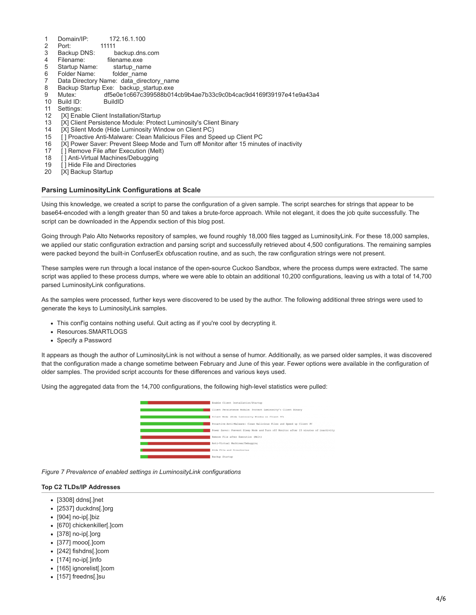- 1 Domain/IP: 172.16.1.100
- 2 Port: 11111
- 3 Backup DNS: backup.dns.com
- 4 Filename: filename.exe
- 5 Startup Name: startup\_name
- 6 Folder Name: folder\_name
- 7 Data Directory Name: data\_directory\_name
- 8 Backup Startup Exe: backup\_startup.exe
- 9 Mutex: df5e0e1c667c399588b014cb9b4ae7b33c9c0b4cac9d4169f39197e41e9a43a4
- 10 Build ID: BuildID
- 11 Settings:
- 12 [X] Enable Client Installation/Startup
- 13 [X] Client Persistence Module: Protect Luminosity's Client Binary
- 14 [X] Silent Mode (Hide Luminosity Window on Client PC)
- 15 [ ] Proactive Anti-Malware: Clean Malicious Files and Speed up Client PC
- 16 [X] Power Saver: Prevent Sleep Mode and Turn off Monitor after 15 minutes of inactivity
- 17 [ ] Remove File after Execution (Melt)
- 18 [] Anti-Virtual Machines/Debugging
- 19 [ ] Hide File and Directories
- 20 [X] Backup Startup

## **Parsing LuminosityLink Configurations at Scale**

Using this knowledge, we created a script to parse the configuration of a given sample. The script searches for strings that appear to be base64-encoded with a length greater than 50 and takes a brute-force approach. While not elegant, it does the job quite successfully. The script can be downloaded in the Appendix section of this blog post.

Going through Palo Alto Networks repository of samples, we found roughly 18,000 files tagged as LuminosityLink. For these 18,000 samples, we applied our static configuration extraction and parsing script and successfully retrieved about 4,500 configurations. The remaining samples were packed beyond the built-in ConfuserEx obfuscation routine, and as such, the raw configuration strings were not present.

These samples were run through a local instance of the open-source Cuckoo Sandbox, where the process dumps were extracted. The same script was applied to these process dumps, where we were able to obtain an additional 10,200 configurations, leaving us with a total of 14,700 parsed LuminosityLink configurations.

As the samples were processed, further keys were discovered to be used by the author. The following additional three strings were used to generate the keys to LuminosityLink samples.

- This conf'ig contains nothing useful. Quit acting as if you're cool by decrypting it.
- Resources.SMARTLOGS
- Specify a Password

It appears as though the author of LuminosityLink is not without a sense of humor. Additionally, as we parsed older samples, it was discovered that the configuration made a change sometime between February and June of this year. Fewer options were available in the configuration of older samples. The provided script accounts for these differences and various keys used.

Using the aggregated data from the 14,700 configurations, the following high-level statistics were pulled:



*Figure 7 Prevalence of enabled settings in LuminosityLink configurations*

#### **Top C2 TLDs/IP Addresses**

- [3308] ddns[.]net
- [2537] duckdns[.]org
- $\bullet$  [904] no-ip[.]biz
- [670] chickenkiller[.]com
- [378] no-ip[.]org
- [377] mooo[.]com
- [242] fishdns[.]com
- $\bullet$  [174] no-ip[.]info
- [165] ignorelist[.]com
- [157] freedns[.]su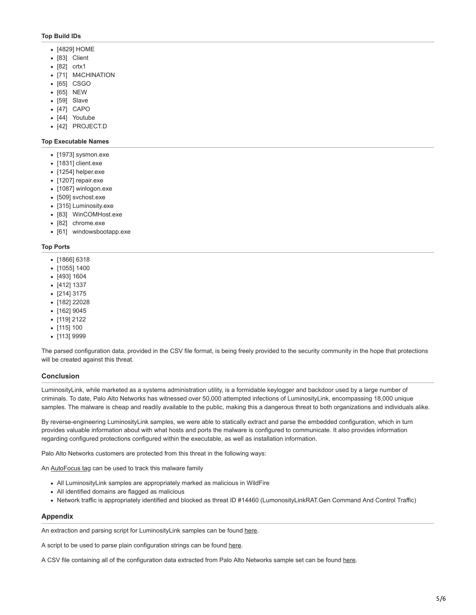## **Top Build IDs**

- [4829] HOME
- [83] Client
- [82] crtx1
- [71] M4CHINATION
- [65] CSGO
- [65] NEW
- [59] Slave
- [47] CAPO
- [44] Youtube
- [42] PROJECT.D

#### **Top Executable Names**

- [1973] sysmon.exe
- [1831] client.exe
- $\bullet$  [1254] helper.exe
- $\bullet$  [1207] repair.exe
- [1087] winlogon.exe
- [509] svchost.exe
- [315] Luminosity.exe
- [83] WinCOMHost.exe
- [82] chrome.exe
- [61] windowsbootapp.exe

#### **Top Ports**

- [1866] 6318
- [1055] 1400
- [493] 1604
- [412] 1337
- [214] 3175
- [182] 22028
- [162] 9045
- [119] 2122
- [115] 100
- [113] 9999

The parsed configuration data, provided in the CSV file format, is being freely provided to the security community in the hope that protections will be created against this threat.

## **Conclusion**

LuminosityLink, while marketed as a systems administration utility, is a formidable keylogger and backdoor used by a large number of criminals. To date, Palo Alto Networks has witnessed over 50,000 attempted infections of LuminosityLink, encompassing 18,000 unique samples. The malware is cheap and readily available to the public, making this a dangerous threat to both organizations and individuals alike.

By reverse-engineering LuminosityLink samples, we were able to statically extract and parse the embedded configuration, which in turn provides valuable information about with what hosts and ports the malware is configured to communicate. It also provides information regarding configured protections configured within the executable, as well as installation information.

Palo Alto Networks customers are protected from this threat in the following ways:

An **AutoFocus tag can be used to track this malware family** 

- All LuminosityLink samples are appropriately marked as malicious in WildFire
- All identified domains are flagged as malicious
- Network traffic is appropriately identified and blocked as threat ID #14460 (LumonosityLinkRAT.Gen Command And Control Traffic)

## **Appendix**

An extraction and parsing script for LuminosityLink samples can be found [here.](https://github.com/pan-unit42/public_tools/tree/master/luminositylink/parse_config_file.py)

A script to be used to parse plain configuration strings can be found [here](https://github.com/pan-unit42/public_tools/tree/master/luminositylink/parse_config_string.py).

A CSV file containing all of the configuration data extracted from Palo Alto Networks sample set can be found [here](https://github.com/pan-unit42/iocs/tree/master/luminositylink/luminositylink_configs.csv).